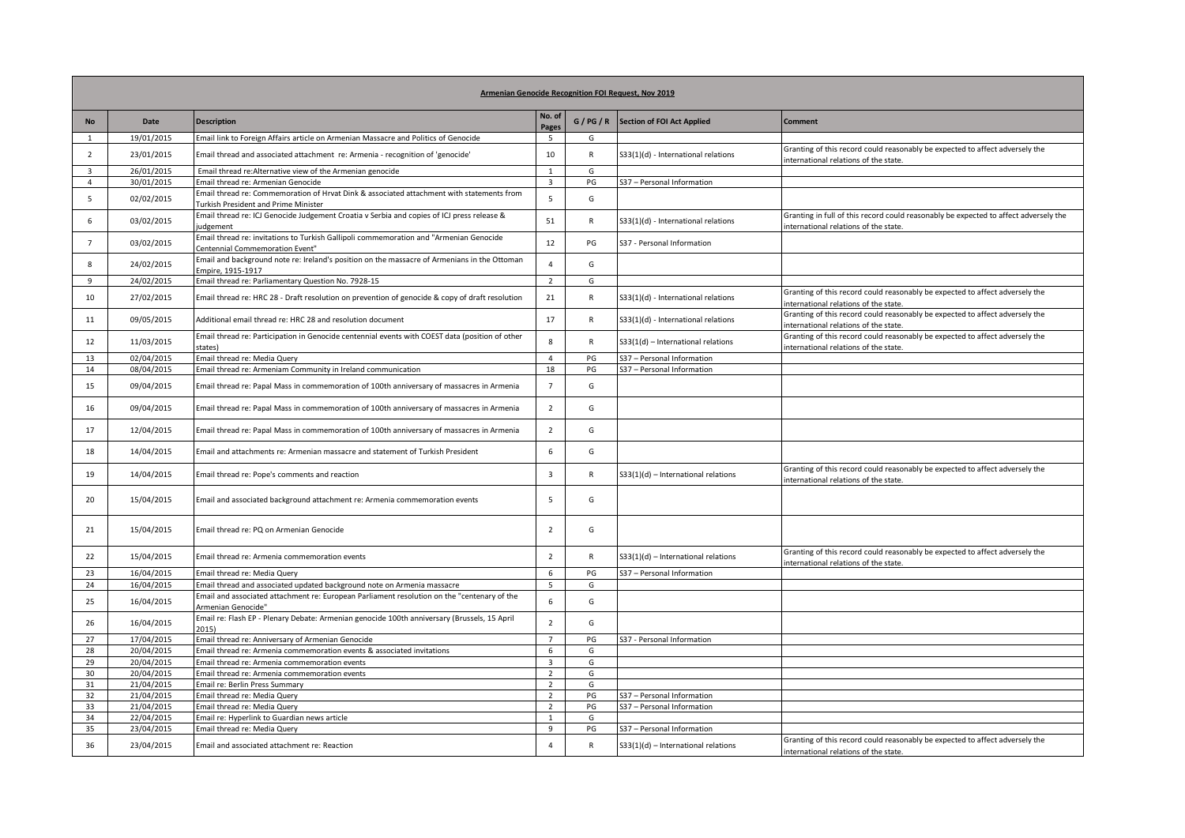| Armenian Genocide Recognition FOI Request, Nov 2019 |                          |                                                                                                                                   |                                  |              |                                       |                                                                                                                               |  |  |  |  |  |
|-----------------------------------------------------|--------------------------|-----------------------------------------------------------------------------------------------------------------------------------|----------------------------------|--------------|---------------------------------------|-------------------------------------------------------------------------------------------------------------------------------|--|--|--|--|--|
| <b>No</b>                                           | Date                     | <b>Description</b>                                                                                                                | No. of<br>Pages                  | G/PG/R       | Section of FOI Act Applied            | <b>Comment</b>                                                                                                                |  |  |  |  |  |
| 1                                                   | 19/01/2015               | Email link to Foreign Affairs article on Armenian Massacre and Politics of Genocide                                               | 5                                | G            |                                       |                                                                                                                               |  |  |  |  |  |
| $\overline{2}$                                      | 23/01/2015               | Email thread and associated attachment re: Armenia - recognition of 'genocide'                                                    | 10                               | R            | S33(1)(d) - International relations   | Granting of this record could reasonably be expected to affect adversely the<br>international relations of the state.         |  |  |  |  |  |
| $\overline{3}$                                      | 26/01/2015               | Email thread re: Alternative view of the Armenian genocide                                                                        | $\mathbf{1}$                     | G            |                                       |                                                                                                                               |  |  |  |  |  |
| 4                                                   | 30/01/2015               | Email thread re: Armenian Genocide                                                                                                | $\overline{\mathbf{3}}$          | PG           | S37 - Personal Information            |                                                                                                                               |  |  |  |  |  |
| 5                                                   | 02/02/2015               | Email thread re: Commemoration of Hrvat Dink & associated attachment with statements from<br>Turkish President and Prime Minister | 5                                | G            |                                       |                                                                                                                               |  |  |  |  |  |
| 6                                                   | 03/02/2015               | Email thread re: ICJ Genocide Judgement Croatia v Serbia and copies of ICJ press release &<br>judgement                           | 51                               | R            | S33(1)(d) - International relations   | Granting in full of this record could reasonably be expected to affect adversely the<br>international relations of the state. |  |  |  |  |  |
| $\overline{7}$                                      | 03/02/2015               | Email thread re: invitations to Turkish Gallipoli commemoration and "Armenian Genocide<br>Centennial Commemoration Event"         | 12                               | PG           | S37 - Personal Information            |                                                                                                                               |  |  |  |  |  |
| 8                                                   | 24/02/2015               | Email and background note re: Ireland's position on the massacre of Armenians in the Ottoman<br>Empire, 1915-1917                 | $\overline{4}$                   | G            |                                       |                                                                                                                               |  |  |  |  |  |
| 9                                                   | 24/02/2015               | Email thread re: Parliamentary Question No. 7928-15                                                                               | $\overline{2}$                   | G            |                                       |                                                                                                                               |  |  |  |  |  |
| 10                                                  | 27/02/2015               | Email thread re: HRC 28 - Draft resolution on prevention of genocide & copy of draft resolution                                   | 21                               | $\mathsf{R}$ | S33(1)(d) - International relations   | Granting of this record could reasonably be expected to affect adversely the<br>international relations of the state.         |  |  |  |  |  |
| 11                                                  | 09/05/2015               | Additional email thread re: HRC 28 and resolution document                                                                        | 17                               | R            | S33(1)(d) - International relations   | Granting of this record could reasonably be expected to affect adversely the<br>international relations of the state.         |  |  |  |  |  |
| 12                                                  | 11/03/2015               | Email thread re: Participation in Genocide centennial events with COEST data (position of other<br>states)                        | 8                                | $\mathsf{R}$ | $S33(1(d)$ - International relations  | Granting of this record could reasonably be expected to affect adversely the<br>international relations of the state.         |  |  |  |  |  |
| 13                                                  | 02/04/2015               | Email thread re: Media Query                                                                                                      | $\overline{4}$                   | PG           | S37 - Personal Information            |                                                                                                                               |  |  |  |  |  |
| 14                                                  | 08/04/2015               | Email thread re: Armeniam Community in Ireland communication                                                                      | 18                               | PG           | S37 - Personal Information            |                                                                                                                               |  |  |  |  |  |
| 15                                                  | 09/04/2015               | Email thread re: Papal Mass in commemoration of 100th anniversary of massacres in Armenia                                         | $\overline{7}$                   | G            |                                       |                                                                                                                               |  |  |  |  |  |
| 16                                                  | 09/04/2015               | Email thread re: Papal Mass in commemoration of 100th anniversary of massacres in Armenia                                         | $\overline{2}$                   | G            |                                       |                                                                                                                               |  |  |  |  |  |
| 17                                                  | 12/04/2015               | Email thread re: Papal Mass in commemoration of 100th anniversary of massacres in Armenia                                         | $\overline{2}$                   | G            |                                       |                                                                                                                               |  |  |  |  |  |
| 18                                                  | 14/04/2015               | Email and attachments re: Armenian massacre and statement of Turkish President                                                    | 6                                | G            |                                       |                                                                                                                               |  |  |  |  |  |
| 19                                                  | 14/04/2015               | Email thread re: Pope's comments and reaction                                                                                     | 3                                | ${\sf R}$    | $S33(1)(d)$ – International relations | Granting of this record could reasonably be expected to affect adversely the<br>international relations of the state.         |  |  |  |  |  |
| 20                                                  | 15/04/2015               | Email and associated background attachment re: Armenia commemoration events                                                       | 5                                | G            |                                       |                                                                                                                               |  |  |  |  |  |
| 21                                                  | 15/04/2015               | Email thread re: PQ on Armenian Genocide                                                                                          | $\overline{2}$                   | G            |                                       |                                                                                                                               |  |  |  |  |  |
| 22                                                  | 15/04/2015               | Email thread re: Armenia commemoration events                                                                                     | $\overline{2}$                   | R            | $S33(1)(d)$ - International relations | Granting of this record could reasonably be expected to affect adversely the<br>international relations of the state.         |  |  |  |  |  |
| 23                                                  | 16/04/2015               | Email thread re: Media Query                                                                                                      | 6                                | PG           | S37 - Personal Information            |                                                                                                                               |  |  |  |  |  |
| 24                                                  | 16/04/2015               | Email thread and associated updated background note on Armenia massacre                                                           | 5                                | G            |                                       |                                                                                                                               |  |  |  |  |  |
| 25                                                  | 16/04/2015               | Email and associated attachment re: European Parliament resolution on the "centenary of the<br>Armenian Genocide"                 | 6                                | G            |                                       |                                                                                                                               |  |  |  |  |  |
| 26                                                  | 16/04/2015               | Email re: Flash EP - Plenary Debate: Armenian genocide 100th anniversary (Brussels, 15 April<br>2015)                             | $\overline{2}$                   | G            |                                       |                                                                                                                               |  |  |  |  |  |
| 27                                                  | 17/04/2015               | Email thread re: Anniversary of Armenian Genocide                                                                                 | $\overline{7}$                   | PG           | S37 - Personal Information            |                                                                                                                               |  |  |  |  |  |
| 28                                                  | 20/04/2015               | Email thread re: Armenia commemoration events & associated invitations                                                            | 6                                | G            |                                       |                                                                                                                               |  |  |  |  |  |
| 29                                                  | 20/04/2015               | Email thread re: Armenia commemoration events                                                                                     | $\overline{3}$                   | G            |                                       |                                                                                                                               |  |  |  |  |  |
| 30<br>31                                            | 20/04/2015<br>21/04/2015 | Email thread re: Armenia commemoration events<br>Email re: Berlin Press Summary                                                   | $\overline{2}$<br>$\overline{2}$ | G<br>G       |                                       |                                                                                                                               |  |  |  |  |  |
| 32                                                  | 21/04/2015               | Email thread re: Media Query                                                                                                      | 2                                | PG           | S37 - Personal Information            |                                                                                                                               |  |  |  |  |  |
| 33                                                  | 21/04/2015               | Email thread re: Media Query                                                                                                      | $\overline{2}$                   | PG           | S37 - Personal Information            |                                                                                                                               |  |  |  |  |  |
| 34                                                  | 22/04/2015               | Email re: Hyperlink to Guardian news article                                                                                      | $\mathbf{1}$                     | G            |                                       |                                                                                                                               |  |  |  |  |  |
| 35                                                  | 23/04/2015               | Email thread re: Media Query                                                                                                      | 9                                | PG           | S37 - Personal Information            |                                                                                                                               |  |  |  |  |  |
| 36                                                  | 23/04/2015               | Email and associated attachment re: Reaction                                                                                      | $\overline{4}$                   | $\mathsf{R}$ | $S33(1)(d)$ - International relations | Granting of this record could reasonably be expected to affect adversely the<br>international relations of the state.         |  |  |  |  |  |